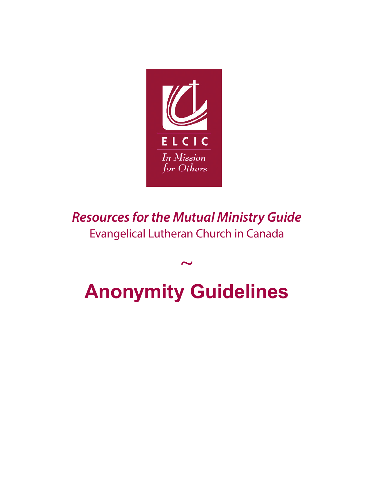

*Resources for the Mutual Ministry Guide* Evangelical Lutheran Church in Canada

## $\sim$ **Anonymity Guidelines**